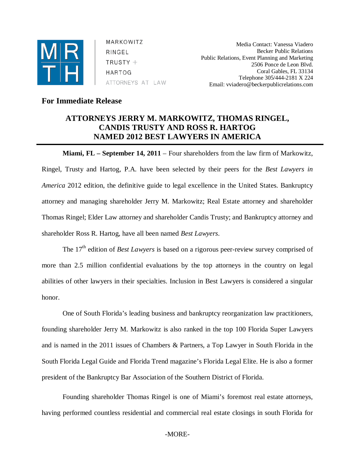

MARKOWITZ RINGEL  $TRUSTY +$ **HARTOG** ATTORNEYS AT LAW

Media Contact: Vanessa Viadero Becker Public Relations Public Relations, Event Planning and Marketing 2506 Ponce de Leon Blvd. Coral Gables, FL 33134 Telephone 305/444-2181 X 224 Email: vviadero@beckerpublicrelations.com

## **For Immediate Release**

## **ATTORNEYS JERRY M. MARKOWITZ, THOMAS RINGEL, CANDIS TRUSTY AND ROSS R. HARTOG NAMED 2012 BEST LAWYERS IN AMERICA**

**Miami, FL – September 14, 2011** – Four shareholders from the law firm of Markowitz, Ringel, Trusty and Hartog, P.A. have been selected by their peers for the *Best Lawyers in America* 2012 edition, the definitive guide to legal excellence in the United States. Bankruptcy attorney and managing shareholder Jerry M. Markowitz; Real Estate attorney and shareholder Thomas Ringel; Elder Law attorney and shareholder Candis Trusty; and Bankruptcy attorney and shareholder Ross R. Hartog, have all been named *Best Lawyers*.

The 17<sup>th</sup> edition of *Best Lawyers* is based on a rigorous peer-review survey comprised of more than 2.5 million confidential evaluations by the top attorneys in the country on legal abilities of other lawyers in their specialties. Inclusion in Best Lawyers is considered a singular honor.

One of South Florida's leading business and bankruptcy reorganization law practitioners, founding shareholder Jerry M. Markowitz is also ranked in the top 100 Florida Super Lawyers and is named in the 2011 issues of Chambers & Partners, a Top Lawyer in South Florida in the South Florida Legal Guide and Florida Trend magazine's Florida Legal Elite. He is also a former president of the Bankruptcy Bar Association of the Southern District of Florida.

Founding shareholder Thomas Ringel is one of Miami's foremost real estate attorneys, having performed countless residential and commercial real estate closings in south Florida for